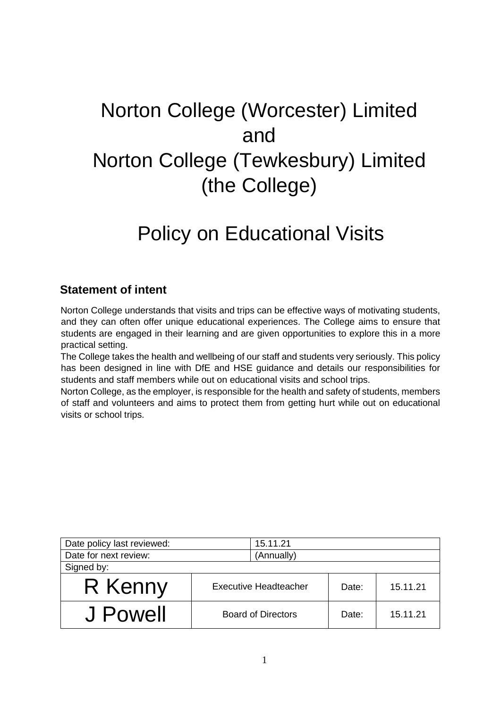# Norton College (Worcester) Limited and Norton College (Tewkesbury) Limited (the College)  $\overline{a}$

# Policy on Educational Visits

# **Statement of intent**

Norton College understands that visits and trips can be effective ways of motivating students, and they can often offer unique educational experiences. The College aims to ensure that students are engaged in their learning and are given opportunities to explore this in a more practical setting.

The College takes the health and wellbeing of our staff and students very seriously. This policy has been designed in line with DfE and HSE guidance and details our responsibilities for students and staff members while out on educational visits and school trips.

Norton College, as the employer, is responsible for the health and safety of students, members of staff and volunteers and aims to protect them from getting hurt while out on educational visits or school trips.

| Date policy last reviewed: | 15.11.21                     |       |          |
|----------------------------|------------------------------|-------|----------|
| Date for next review:      | (Annually)                   |       |          |
| Signed by:                 |                              |       |          |
| R Kenny                    | <b>Executive Headteacher</b> | Date: | 15.11.21 |
| J Powell                   | <b>Board of Directors</b>    | Date: | 15.11.21 |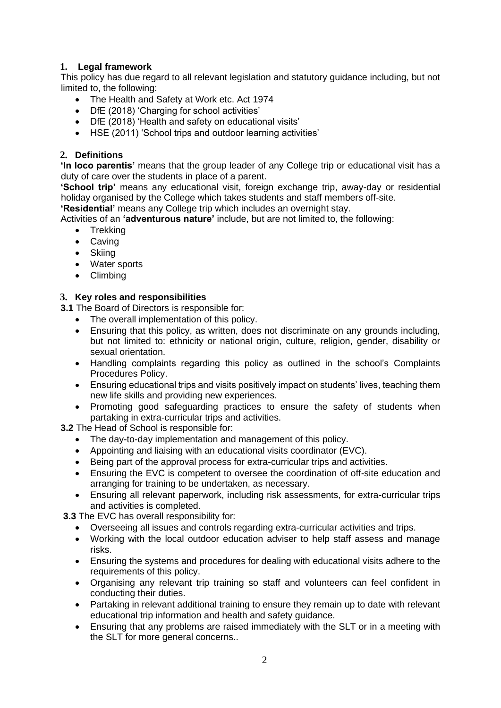# **1. Legal framework**

This policy has due regard to all relevant legislation and statutory guidance including, but not limited to, the following:

- The Health and Safety at Work etc. Act 1974
- DfE (2018) 'Charging for school activities'
- DfE (2018) 'Health and safety on educational visits'
- HSE (2011) 'School trips and outdoor learning activities'

#### **2. Definitions**

**'In loco parentis'** means that the group leader of any College trip or educational visit has a duty of care over the students in place of a parent.

**'School trip'** means any educational visit, foreign exchange trip, away-day or residential holiday organised by the College which takes students and staff members off-site.

**'Residential'** means any College trip which includes an overnight stay.

Activities of an **'adventurous nature'** include, but are not limited to, the following:

- Trekking
- Caving
- Skiing
- Water sports
- Climbing

#### **3. Key roles and responsibilities**

**3.1** The Board of Directors is responsible for:

- The overall implementation of this policy.
- Ensuring that this policy, as written, does not discriminate on any grounds including, but not limited to: ethnicity or national origin, culture, religion, gender, disability or sexual orientation.
- Handling complaints regarding this policy as outlined in the school's Complaints Procedures Policy.
- Ensuring educational trips and visits positively impact on students' lives, teaching them new life skills and providing new experiences.
- Promoting good safeguarding practices to ensure the safety of students when partaking in extra-curricular trips and activities.

**3.2** The Head of School is responsible for:

- The day-to-day implementation and management of this policy.
- Appointing and liaising with an educational visits coordinator (EVC).
- Being part of the approval process for extra-curricular trips and activities.
- Ensuring the EVC is competent to oversee the coordination of off-site education and arranging for training to be undertaken, as necessary.
- Ensuring all relevant paperwork, including risk assessments, for extra-curricular trips and activities is completed.

**3.3** The EVC has overall responsibility for:

- Overseeing all issues and controls regarding extra-curricular activities and trips.
- Working with the local outdoor education adviser to help staff assess and manage risks.
- Ensuring the systems and procedures for dealing with educational visits adhere to the requirements of this policy.
- Organising any relevant trip training so staff and volunteers can feel confident in conducting their duties.
- Partaking in relevant additional training to ensure they remain up to date with relevant educational trip information and health and safety guidance.
- Ensuring that any problems are raised immediately with the SLT or in a meeting with the SLT for more general concerns..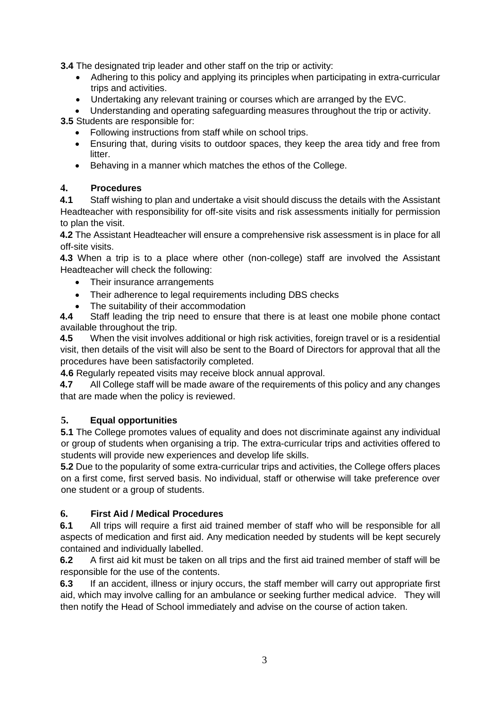**3.4** The designated trip leader and other staff on the trip or activity:

- Adhering to this policy and applying its principles when participating in extra-curricular trips and activities.
- Undertaking any relevant training or courses which are arranged by the EVC.
- Understanding and operating safeguarding measures throughout the trip or activity.

**3.5** Students are responsible for:

- Following instructions from staff while on school trips.
- Ensuring that, during visits to outdoor spaces, they keep the area tidy and free from litter.
- Behaving in a manner which matches the ethos of the College.

# **4. Procedures**

**4.1** Staff wishing to plan and undertake a visit should discuss the details with the Assistant Headteacher with responsibility for off-site visits and risk assessments initially for permission to plan the visit.

**4.2** The Assistant Headteacher will ensure a comprehensive risk assessment is in place for all off-site visits.

**4.3** When a trip is to a place where other (non-college) staff are involved the Assistant Headteacher will check the following:

- Their insurance arrangements
- Their adherence to legal requirements including DBS checks
- The suitability of their accommodation

**4.4** Staff leading the trip need to ensure that there is at least one mobile phone contact available throughout the trip.

**4.5** When the visit involves additional or high risk activities, foreign travel or is a residential visit, then details of the visit will also be sent to the Board of Directors for approval that all the procedures have been satisfactorily completed.

**4.6** Regularly repeated visits may receive block annual approval.

**4.7** All College staff will be made aware of the requirements of this policy and any changes that are made when the policy is reviewed.

## **5. Equal opportunities**

**5.1** The College promotes values of equality and does not discriminate against any individual or group of students when organising a trip. The extra-curricular trips and activities offered to students will provide new experiences and develop life skills.

**5.2** Due to the popularity of some extra-curricular trips and activities, the College offers places on a first come, first served basis. No individual, staff or otherwise will take preference over one student or a group of students.

# **6. First Aid / Medical Procedures**

**6.1** All trips will require a first aid trained member of staff who will be responsible for all aspects of medication and first aid. Any medication needed by students will be kept securely contained and individually labelled.

**6.2** A first aid kit must be taken on all trips and the first aid trained member of staff will be responsible for the use of the contents.

**6.3** If an accident, illness or injury occurs, the staff member will carry out appropriate first aid, which may involve calling for an ambulance or seeking further medical advice. They will then notify the Head of School immediately and advise on the course of action taken.